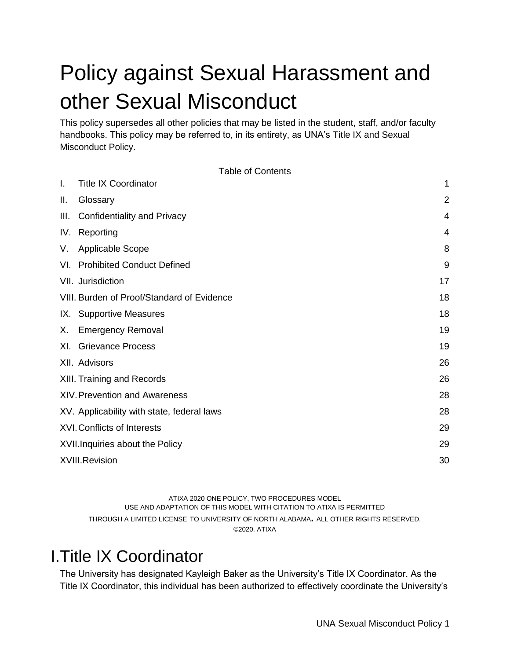# Policy against Sexual Harassment and other Sexual Misconduct

This policy supersedes all other policies that may be listed in the student, staff, and/or faculty handbooks. This policy may be referred to, in its entirety, as UNA's Title IX and Sexual Misconduct Policy.

Table of Contents

| I. | <b>Title IX Coordinator</b>                | 1              |
|----|--------------------------------------------|----------------|
| Ш. | Glossary                                   | $\overline{2}$ |
|    | III. Confidentiality and Privacy           | 4              |
|    | IV. Reporting                              | 4              |
| V. | <b>Applicable Scope</b>                    | 8              |
|    | VI. Prohibited Conduct Defined             | 9              |
|    | VII. Jurisdiction                          | 17             |
|    | VIII. Burden of Proof/Standard of Evidence | 18             |
|    | IX. Supportive Measures                    | 18             |
| Х. | <b>Emergency Removal</b>                   | 19             |
|    | XI. Grievance Process                      | 19             |
|    | XII. Advisors                              | 26             |
|    | XIII. Training and Records                 | 26             |
|    | <b>XIV. Prevention and Awareness</b>       | 28             |
|    | XV. Applicability with state, federal laws | 28             |
|    | <b>XVI. Conflicts of Interests</b>         | 29             |
|    | XVII. Inquiries about the Policy           | 29             |
|    | XVIII.Revision                             | 30             |

ATIXA 2020 ONE POLICY, TWO PROCEDURES MODEL USE AND ADAPTATION OF THIS MODEL WITH CITATION TO ATIXA IS PERMITTED THROUGH A LIMITED LICENSE TO UNIVERSITY OF NORTH ALABAMA**.** ALL OTHER RIGHTS RESERVED. ©2020. ATIXA

### <span id="page-0-0"></span>I.Title IX Coordinator

The University has designated Kayleigh Baker as the University's Title IX Coordinator. As the Title IX Coordinator, this individual has been authorized to effectively coordinate the University's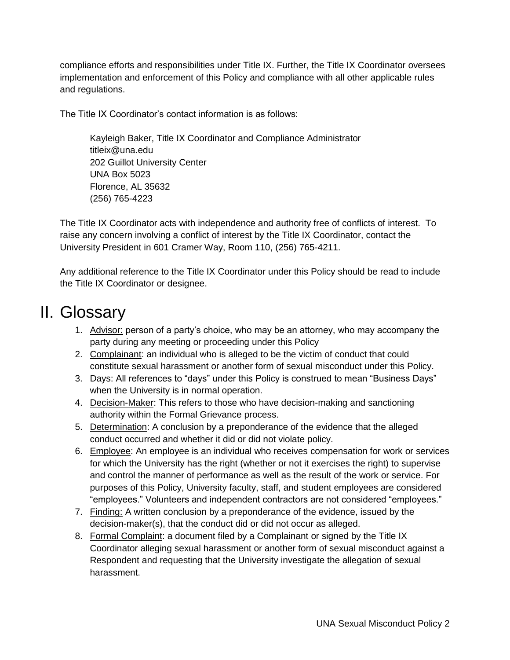compliance efforts and responsibilities under Title IX. Further, the Title IX Coordinator oversees implementation and enforcement of this Policy and compliance with all other applicable rules and regulations.

The Title IX Coordinator's contact information is as follows:

Kayleigh Baker, Title IX Coordinator and Compliance Administrator titleix@una.edu 202 Guillot University Center UNA Box 5023 Florence, AL 35632 (256) 765-4223

The Title IX Coordinator acts with independence and authority free of conflicts of interest. To raise any concern involving a conflict of interest by the Title IX Coordinator, contact the University President in 601 Cramer Way, Room 110, (256) 765-4211.

Any additional reference to the Title IX Coordinator under this Policy should be read to include the Title IX Coordinator or designee.

# <span id="page-1-0"></span>II. Glossary

- 1. Advisor: person of a party's choice, who may be an attorney, who may accompany the party during any meeting or proceeding under this Policy
- 2. Complainant: an individual who is alleged to be the victim of conduct that could constitute sexual harassment or another form of sexual misconduct under this Policy.
- 3. Days: All references to "days" under this Policy is construed to mean "Business Days" when the University is in normal operation.
- 4. Decision-Maker: This refers to those who have decision-making and sanctioning authority within the Formal Grievance process.
- 5. Determination: A conclusion by a preponderance of the evidence that the alleged conduct occurred and whether it did or did not violate policy.
- 6. Employee: An employee is an individual who receives compensation for work or services for which the University has the right (whether or not it exercises the right) to supervise and control the manner of performance as well as the result of the work or service. For purposes of this Policy, University faculty, staff, and student employees are considered "employees." Volunteers and independent contractors are not considered "employees."
- 7. Finding: A written conclusion by a preponderance of the evidence, issued by the decision-maker(s), that the conduct did or did not occur as alleged.
- 8. Formal Complaint: a document filed by a Complainant or signed by the Title IX Coordinator alleging sexual harassment or another form of sexual misconduct against a Respondent and requesting that the University investigate the allegation of sexual harassment.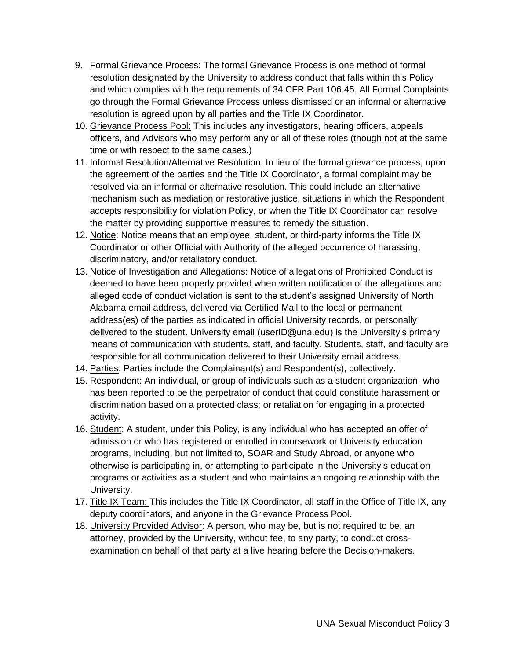- 9. Formal Grievance Process: The formal Grievance Process is one method of formal resolution designated by the University to address conduct that falls within this Policy and which complies with the requirements of 34 CFR Part 106.45. All Formal Complaints go through the Formal Grievance Process unless dismissed or an informal or alternative resolution is agreed upon by all parties and the Title IX Coordinator.
- 10. Grievance Process Pool: This includes any investigators, hearing officers, appeals officers, and Advisors who may perform any or all of these roles (though not at the same time or with respect to the same cases.)
- 11. Informal Resolution/Alternative Resolution: In lieu of the formal grievance process, upon the agreement of the parties and the Title IX Coordinator, a formal complaint may be resolved via an informal or alternative resolution. This could include an alternative mechanism such as mediation or restorative justice, situations in which the Respondent accepts responsibility for violation Policy, or when the Title IX Coordinator can resolve the matter by providing supportive measures to remedy the situation.
- 12. Notice: Notice means that an employee, student, or third-party informs the Title IX Coordinator or other Official with Authority of the alleged occurrence of harassing, discriminatory, and/or retaliatory conduct.
- 13. Notice of Investigation and Allegations: Notice of allegations of Prohibited Conduct is deemed to have been properly provided when written notification of the allegations and alleged code of conduct violation is sent to the student's assigned University of North Alabama email address, delivered via Certified Mail to the local or permanent address(es) of the parties as indicated in official University records, or personally delivered to the student. University email (userID@una.edu) is the University's primary means of communication with students, staff, and faculty. Students, staff, and faculty are responsible for all communication delivered to their University email address.
- 14. Parties: Parties include the Complainant(s) and Respondent(s), collectively.
- 15. Respondent: An individual, or group of individuals such as a student organization, who has been reported to be the perpetrator of conduct that could constitute harassment or discrimination based on a protected class; or retaliation for engaging in a protected activity.
- 16. Student: A student, under this Policy, is any individual who has accepted an offer of admission or who has registered or enrolled in coursework or University education programs, including, but not limited to, SOAR and Study Abroad, or anyone who otherwise is participating in, or attempting to participate in the University's education programs or activities as a student and who maintains an ongoing relationship with the University.
- 17. Title IX Team: This includes the Title IX Coordinator, all staff in the Office of Title IX, any deputy coordinators, and anyone in the Grievance Process Pool.
- 18. University Provided Advisor: A person, who may be, but is not required to be, an attorney, provided by the University, without fee, to any party, to conduct crossexamination on behalf of that party at a live hearing before the Decision-makers.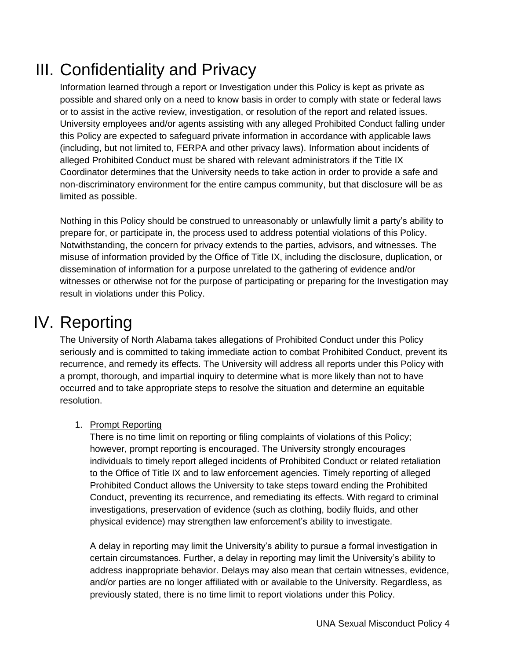# <span id="page-3-0"></span>III. Confidentiality and Privacy

Information learned through a report or Investigation under this Policy is kept as private as possible and shared only on a need to know basis in order to comply with state or federal laws or to assist in the active review, investigation, or resolution of the report and related issues. University employees and/or agents assisting with any alleged Prohibited Conduct falling under this Policy are expected to safeguard private information in accordance with applicable laws (including, but not limited to, FERPA and other privacy laws). Information about incidents of alleged Prohibited Conduct must be shared with relevant administrators if the Title IX Coordinator determines that the University needs to take action in order to provide a safe and non-discriminatory environment for the entire campus community, but that disclosure will be as limited as possible.

Nothing in this Policy should be construed to unreasonably or unlawfully limit a party's ability to prepare for, or participate in, the process used to address potential violations of this Policy. Notwithstanding, the concern for privacy extends to the parties, advisors, and witnesses. The misuse of information provided by the Office of Title IX, including the disclosure, duplication, or dissemination of information for a purpose unrelated to the gathering of evidence and/or witnesses or otherwise not for the purpose of participating or preparing for the Investigation may result in violations under this Policy.

# IV. Reporting

<span id="page-3-1"></span>The University of North Alabama takes allegations of Prohibited Conduct under this Policy seriously and is committed to taking immediate action to combat Prohibited Conduct, prevent its recurrence, and remedy its effects. The University will address all reports under this Policy with a prompt, thorough, and impartial inquiry to determine what is more likely than not to have occurred and to take appropriate steps to resolve the situation and determine an equitable resolution.

#### 1. Prompt Reporting

There is no time limit on reporting or filing complaints of violations of this Policy; however, prompt reporting is encouraged. The University strongly encourages individuals to timely report alleged incidents of Prohibited Conduct or related retaliation to the Office of Title IX and to law enforcement agencies. Timely reporting of alleged Prohibited Conduct allows the University to take steps toward ending the Prohibited Conduct, preventing its recurrence, and remediating its effects. With regard to criminal investigations, preservation of evidence (such as clothing, bodily fluids, and other physical evidence) may strengthen law enforcement's ability to investigate.

A delay in reporting may limit the University's ability to pursue a formal investigation in certain circumstances. Further, a delay in reporting may limit the University's ability to address inappropriate behavior. Delays may also mean that certain witnesses, evidence, and/or parties are no longer affiliated with or available to the University. Regardless, as previously stated, there is no time limit to report violations under this Policy.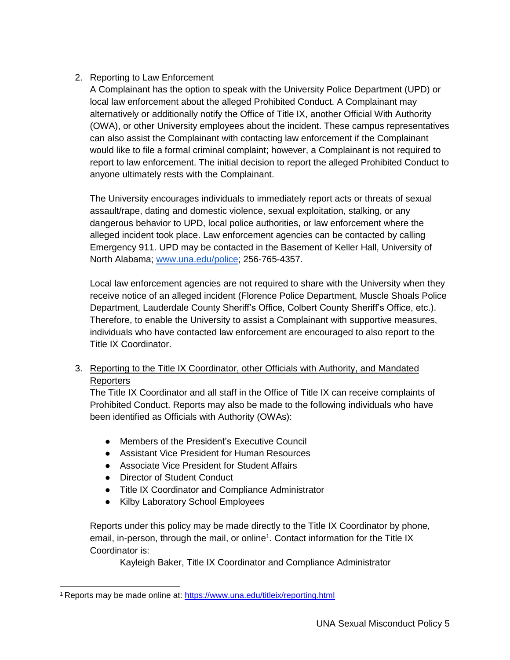#### 2. Reporting to Law Enforcement

A Complainant has the option to speak with the University Police Department (UPD) or local law enforcement about the alleged Prohibited Conduct. A Complainant may alternatively or additionally notify the Office of Title IX, another Official With Authority (OWA), or other University employees about the incident. These campus representatives can also assist the Complainant with contacting law enforcement if the Complainant would like to file a formal criminal complaint; however, a Complainant is not required to report to law enforcement. The initial decision to report the alleged Prohibited Conduct to anyone ultimately rests with the Complainant.

The University encourages individuals to immediately report acts or threats of sexual assault/rape, dating and domestic violence, sexual exploitation, stalking, or any dangerous behavior to UPD, local police authorities, or law enforcement where the alleged incident took place. Law enforcement agencies can be contacted by calling Emergency 911. UPD may be contacted in the Basement of Keller Hall, University of North Alabama; [www.una.edu/police;](http://www.una.edu/police) 256-765-4357.

Local law enforcement agencies are not required to share with the University when they receive notice of an alleged incident (Florence Police Department, Muscle Shoals Police Department, Lauderdale County Sheriff's Office, Colbert County Sheriff's Office, etc.). Therefore, to enable the University to assist a Complainant with supportive measures, individuals who have contacted law enforcement are encouraged to also report to the Title IX Coordinator.

3. Reporting to the Title IX Coordinator, other Officials with Authority, and Mandated **Reporters** 

The Title IX Coordinator and all staff in the Office of Title IX can receive complaints of Prohibited Conduct. Reports may also be made to the following individuals who have been identified as Officials with Authority (OWAs):

- Members of the President's Executive Council
- Assistant Vice President for Human Resources
- Associate Vice President for Student Affairs
- Director of Student Conduct

 $\overline{a}$ 

- Title IX Coordinator and Compliance Administrator
- Kilby Laboratory School Employees

Reports under this policy may be made directly to the Title IX Coordinator by phone, email, in-person, through the mail, or online<sup>1</sup>. Contact information for the Title IX Coordinator is:

Kayleigh Baker, Title IX Coordinator and Compliance Administrator

<sup>&</sup>lt;sup>1</sup> Reports may be made online at:<https://www.una.edu/titleix/reporting.html>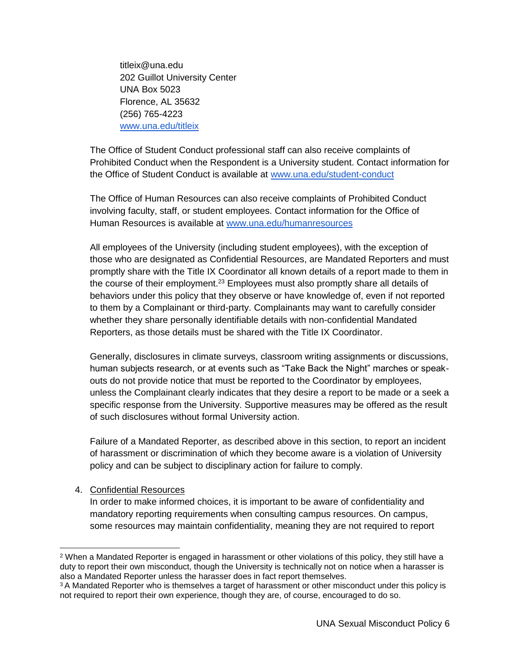titleix@una.edu 202 Guillot University Center UNA Box 5023 Florence, AL 35632 (256) 765-4223 [www.una.edu/titleix](http://www.una.edu/titleix)

The Office of Student Conduct professional staff can also receive complaints of Prohibited Conduct when the Respondent is a University student. Contact information for the Office of Student Conduct is available at [www.una.edu/student-conduct](http://www.una.edu/conduct)

The Office of Human Resources can also receive complaints of Prohibited Conduct involving faculty, staff, or student employees. Contact information for the Office of Human Resources is available at [www.una.edu/humanresources](http://www.una.edu/humanresources)

All employees of the University (including student employees), with the exception of those who are designated as Confidential Resources, are Mandated Reporters and must promptly share with the Title IX Coordinator all known details of a report made to them in the course of their employment.<sup>23</sup> Employees must also promptly share all details of behaviors under this policy that they observe or have knowledge of, even if not reported to them by a Complainant or third-party. Complainants may want to carefully consider whether they share personally identifiable details with non-confidential Mandated Reporters, as those details must be shared with the Title IX Coordinator.

Generally, disclosures in climate surveys, classroom writing assignments or discussions, human subjects research, or at events such as "Take Back the Night" marches or speakouts do not provide notice that must be reported to the Coordinator by employees, unless the Complainant clearly indicates that they desire a report to be made or a seek a specific response from the University. Supportive measures may be offered as the result of such disclosures without formal University action.

Failure of a Mandated Reporter, as described above in this section, to report an incident of harassment or discrimination of which they become aware is a violation of University policy and can be subject to disciplinary action for failure to comply.

#### 4. Confidential Resources

 $\overline{a}$ 

In order to make informed choices, it is important to be aware of confidentiality and mandatory reporting requirements when consulting campus resources. On campus, some resources may maintain confidentiality, meaning they are not required to report

<sup>2</sup> When a Mandated Reporter is engaged in harassment or other violations of this policy, they still have a duty to report their own misconduct, though the University is technically not on notice when a harasser is also a Mandated Reporter unless the harasser does in fact report themselves.

<sup>&</sup>lt;sup>3</sup> A Mandated Reporter who is themselves a target of harassment or other misconduct under this policy is not required to report their own experience, though they are, of course, encouraged to do so.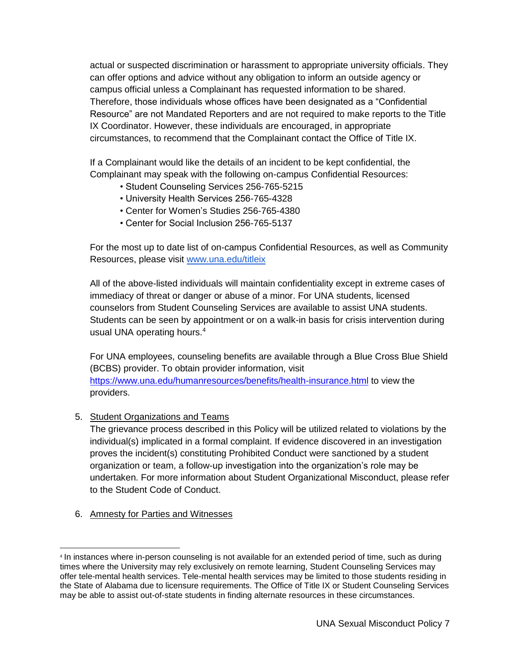actual or suspected discrimination or harassment to appropriate university officials. They can offer options and advice without any obligation to inform an outside agency or campus official unless a Complainant has requested information to be shared. Therefore, those individuals whose offices have been designated as a "Confidential Resource" are not Mandated Reporters and are not required to make reports to the Title IX Coordinator. However, these individuals are encouraged, in appropriate circumstances, to recommend that the Complainant contact the Office of Title IX.

If a Complainant would like the details of an incident to be kept confidential, the Complainant may speak with the following on-campus Confidential Resources:

- Student Counseling Services 256-765-5215
- University Health Services 256-765-4328
- Center for Women's Studies 256-765-4380
- Center for Social Inclusion 256-765-5137

For the most up to date list of on-campus Confidential Resources, as well as Community Resources, please visit [www.una.edu/titleix](http://www.una.edu/titleix)

All of the above-listed individuals will maintain confidentiality except in extreme cases of immediacy of threat or danger or abuse of a minor. For UNA students, licensed counselors from Student Counseling Services are available to assist UNA students. Students can be seen by appointment or on a walk-in basis for crisis intervention during usual UNA operating hours.<sup>4</sup>

For UNA employees, counseling benefits are available through a Blue Cross Blue Shield (BCBS) provider. To obtain provider information, visit <https://www.una.edu/humanresources/benefits/health-insurance.html> to view the providers.

5. Student Organizations and Teams

The grievance process described in this Policy will be utilized related to violations by the individual(s) implicated in a formal complaint. If evidence discovered in an investigation proves the incident(s) constituting Prohibited Conduct were sanctioned by a student organization or team, a follow-up investigation into the organization's role may be undertaken. For more information about Student Organizational Misconduct, please refer to the Student Code of Conduct.

6. Amnesty for Parties and Witnesses

 $\overline{a}$ 

<sup>4</sup> In instances where in-person counseling is not available for an extended period of time, such as during times where the University may rely exclusively on remote learning, Student Counseling Services may offer tele-mental health services. Tele-mental health services may be limited to those students residing in the State of Alabama due to licensure requirements. The Office of Title IX or Student Counseling Services may be able to assist out-of-state students in finding alternate resources in these circumstances.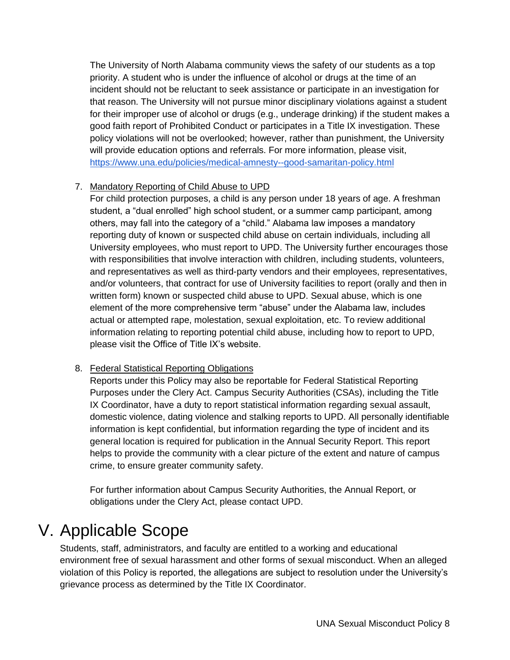The University of North Alabama community views the safety of our students as a top priority. A student who is under the influence of alcohol or drugs at the time of an incident should not be reluctant to seek assistance or participate in an investigation for that reason. The University will not pursue minor disciplinary violations against a student for their improper use of alcohol or drugs (e.g., underage drinking) if the student makes a good faith report of Prohibited Conduct or participates in a Title IX investigation. These policy violations will not be overlooked; however, rather than punishment, the University will provide education options and referrals. For more information, please visit, <https://www.una.edu/policies/medical-amnesty--good-samaritan-policy.html>

#### 7. Mandatory Reporting of Child Abuse to UPD

For child protection purposes, a child is any person under 18 years of age. A freshman student, a "dual enrolled" high school student, or a summer camp participant, among others, may fall into the category of a "child." Alabama law imposes a mandatory reporting duty of known or suspected child abuse on certain individuals, including all University employees, who must report to UPD. The University further encourages those with responsibilities that involve interaction with children, including students, volunteers, and representatives as well as third-party vendors and their employees, representatives, and/or volunteers, that contract for use of University facilities to report (orally and then in written form) known or suspected child abuse to UPD. Sexual abuse, which is one element of the more comprehensive term "abuse" under the Alabama law, includes actual or attempted rape, molestation, sexual exploitation, etc. To review additional information relating to reporting potential child abuse, including how to report to UPD, please visit the Office of Title IX's website.

#### 8. Federal Statistical Reporting Obligations

Reports under this Policy may also be reportable for Federal Statistical Reporting Purposes under the Clery Act. Campus Security Authorities (CSAs), including the Title IX Coordinator, have a duty to report statistical information regarding sexual assault, domestic violence, dating violence and stalking reports to UPD. All personally identifiable information is kept confidential, but information regarding the type of incident and its general location is required for publication in the Annual Security Report. This report helps to provide the community with a clear picture of the extent and nature of campus crime, to ensure greater community safety.

For further information about Campus Security Authorities, the Annual Report, or obligations under the Clery Act, please contact UPD.

### <span id="page-7-0"></span>V. Applicable Scope

Students, staff, administrators, and faculty are entitled to a working and educational environment free of sexual harassment and other forms of sexual misconduct. When an alleged violation of this Policy is reported, the allegations are subject to resolution under the University's grievance process as determined by the Title IX Coordinator.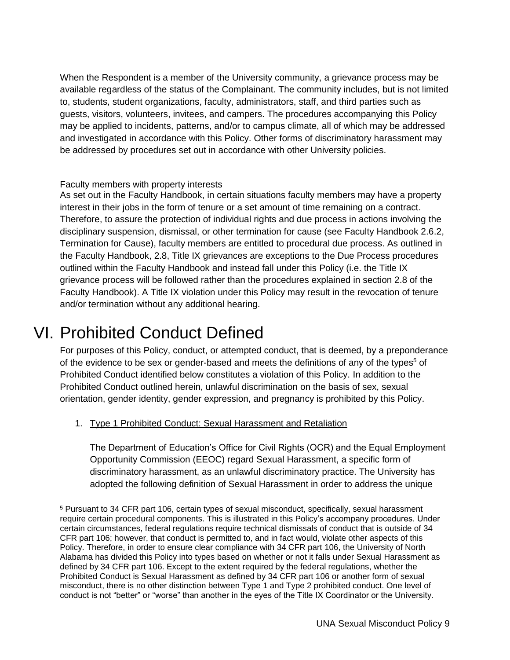When the Respondent is a member of the University community, a grievance process may be available regardless of the status of the Complainant. The community includes, but is not limited to, students, student organizations, faculty, administrators, staff, and third parties such as guests, visitors, volunteers, invitees, and campers. The procedures accompanying this Policy may be applied to incidents, patterns, and/or to campus climate, all of which may be addressed and investigated in accordance with this Policy. Other forms of discriminatory harassment may be addressed by procedures set out in accordance with other University policies.

#### Faculty members with property interests

As set out in the Faculty Handbook, in certain situations faculty members may have a property interest in their jobs in the form of tenure or a set amount of time remaining on a contract. Therefore, to assure the protection of individual rights and due process in actions involving the disciplinary suspension, dismissal, or other termination for cause (see Faculty Handbook 2.6.2, Termination for Cause), faculty members are entitled to procedural due process. As outlined in the Faculty Handbook, 2.8, Title IX grievances are exceptions to the Due Process procedures outlined within the Faculty Handbook and instead fall under this Policy (i.e. the Title IX grievance process will be followed rather than the procedures explained in section 2.8 of the Faculty Handbook). A Title IX violation under this Policy may result in the revocation of tenure and/or termination without any additional hearing.

### VI. Prohibited Conduct Defined

<span id="page-8-0"></span>For purposes of this Policy, conduct, or attempted conduct, that is deemed, by a preponderance of the evidence to be sex or gender-based and meets the definitions of any of the types<sup>5</sup> of Prohibited Conduct identified below constitutes a violation of this Policy. In addition to the Prohibited Conduct outlined herein, unlawful discrimination on the basis of sex, sexual orientation, gender identity, gender expression, and pregnancy is prohibited by this Policy.

#### 1. Type 1 Prohibited Conduct: Sexual Harassment and Retaliation

The Department of Education's Office for Civil Rights (OCR) and the Equal Employment Opportunity Commission (EEOC) regard Sexual Harassment, a specific form of discriminatory harassment, as an unlawful discriminatory practice. The University has adopted the following definition of Sexual Harassment in order to address the unique

<sup>5</sup> Pursuant to 34 CFR part 106, certain types of sexual misconduct, specifically, sexual harassment require certain procedural components. This is illustrated in this Policy's accompany procedures. Under certain circumstances, federal regulations require technical dismissals of conduct that is outside of 34 CFR part 106; however, that conduct is permitted to, and in fact would, violate other aspects of this Policy. Therefore, in order to ensure clear compliance with 34 CFR part 106, the University of North Alabama has divided this Policy into types based on whether or not it falls under Sexual Harassment as defined by 34 CFR part 106. Except to the extent required by the federal regulations, whether the Prohibited Conduct is Sexual Harassment as defined by 34 CFR part 106 or another form of sexual misconduct, there is no other distinction between Type 1 and Type 2 prohibited conduct. One level of conduct is not "better" or "worse" than another in the eyes of the Title IX Coordinator or the University.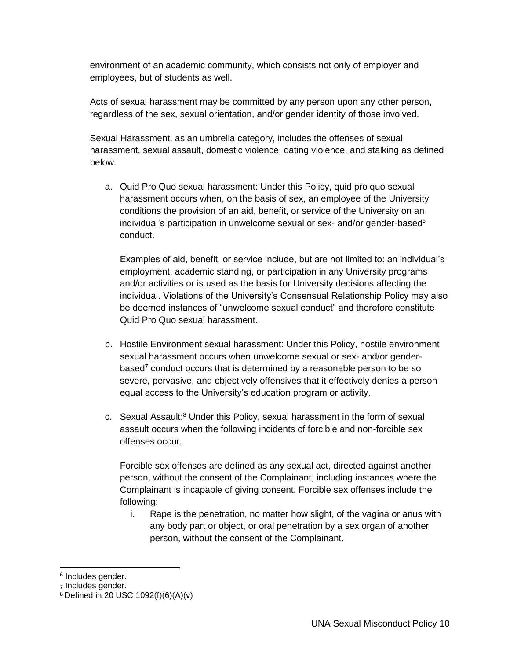environment of an academic community, which consists not only of employer and employees, but of students as well.

Acts of sexual harassment may be committed by any person upon any other person, regardless of the sex, sexual orientation, and/or gender identity of those involved.

Sexual Harassment, as an umbrella category, includes the offenses of sexual harassment, sexual assault, domestic violence, dating violence, and stalking as defined below.

a. Quid Pro Quo sexual harassment: Under this Policy, quid pro quo sexual harassment occurs when, on the basis of sex, an employee of the University conditions the provision of an aid, benefit, or service of the University on an individual's participation in unwelcome sexual or sex- and/or gender-based $6$ conduct.

Examples of aid, benefit, or service include, but are not limited to: an individual's employment, academic standing, or participation in any University programs and/or activities or is used as the basis for University decisions affecting the individual. Violations of the University's Consensual Relationship Policy may also be deemed instances of "unwelcome sexual conduct" and therefore constitute Quid Pro Quo sexual harassment.

- b. Hostile Environment sexual harassment: Under this Policy, hostile environment sexual harassment occurs when unwelcome sexual or sex- and/or genderbased<sup>7</sup> conduct occurs that is determined by a reasonable person to be so severe, pervasive, and objectively offensives that it effectively denies a person equal access to the University's education program or activity.
- c. Sexual Assault:<sup>8</sup> Under this Policy, sexual harassment in the form of sexual assault occurs when the following incidents of forcible and non-forcible sex offenses occur.

Forcible sex offenses are defined as any sexual act, directed against another person, without the consent of the Complainant, including instances where the Complainant is incapable of giving consent. Forcible sex offenses include the following:

i. Rape is the penetration, no matter how slight, of the vagina or anus with any body part or object, or oral penetration by a sex organ of another person, without the consent of the Complainant.

<sup>&</sup>lt;sup>6</sup> Includes gender.

<sup>7</sup> Includes gender.

<sup>8</sup> Defined in 20 USC 1092(f)(6)(A)(v)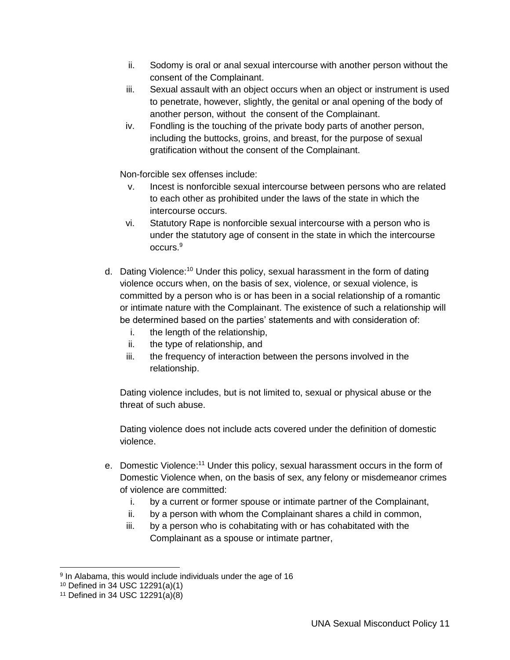- ii. Sodomy is oral or anal sexual intercourse with another person without the consent of the Complainant.
- iii. Sexual assault with an object occurs when an object or instrument is used to penetrate, however, slightly, the genital or anal opening of the body of another person, without the consent of the Complainant.
- iv. Fondling is the touching of the private body parts of another person, including the buttocks, groins, and breast, for the purpose of sexual gratification without the consent of the Complainant.

Non-forcible sex offenses include:

- v. Incest is nonforcible sexual intercourse between persons who are related to each other as prohibited under the laws of the state in which the intercourse occurs.
- vi. Statutory Rape is nonforcible sexual intercourse with a person who is under the statutory age of consent in the state in which the intercourse occurs.<sup>9</sup>
- d. Dating Violence:<sup>10</sup> Under this policy, sexual harassment in the form of dating violence occurs when, on the basis of sex, violence, or sexual violence, is committed by a person who is or has been in a social relationship of a romantic or intimate nature with the Complainant. The existence of such a relationship will be determined based on the parties' statements and with consideration of:
	- i. the length of the relationship,
	- ii. the type of relationship, and
	- iii. the frequency of interaction between the persons involved in the relationship.

Dating violence includes, but is not limited to, sexual or physical abuse or the threat of such abuse.

Dating violence does not include acts covered under the definition of domestic violence.

- e. Domestic Violence:<sup>11</sup> Under this policy, sexual harassment occurs in the form of Domestic Violence when, on the basis of sex, any felony or misdemeanor crimes of violence are committed:
	- i. by a current or former spouse or intimate partner of the Complainant,
	- ii. by a person with whom the Complainant shares a child in common,
	- iii. by a person who is cohabitating with or has cohabitated with the Complainant as a spouse or intimate partner,

 9 In Alabama, this would include individuals under the age of 16

<sup>10</sup> Defined in 34 USC 12291(a)(1)

 $11$  Defined in 34 USC 12291(a)(8)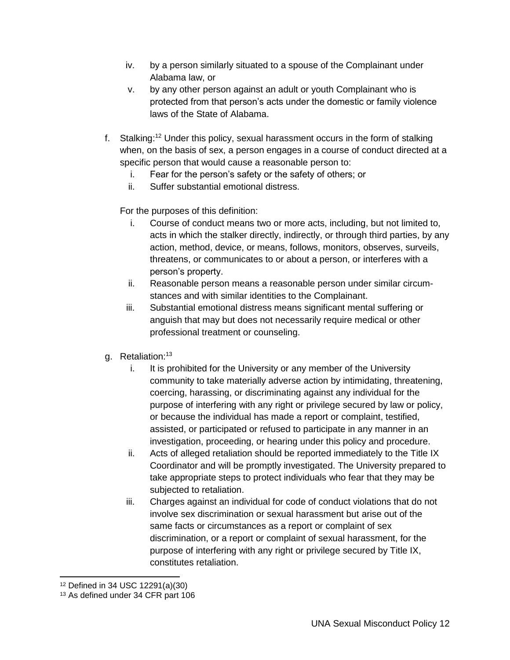- iv. by a person similarly situated to a spouse of the Complainant under Alabama law, or
- v. by any other person against an adult or youth Complainant who is protected from that person's acts under the domestic or family violence laws of the State of Alabama.
- f. Stalking: <sup>12</sup> Under this policy, sexual harassment occurs in the form of stalking when, on the basis of sex, a person engages in a course of conduct directed at a specific person that would cause a reasonable person to:
	- i. Fear for the person's safety or the safety of others; or
	- ii. Suffer substantial emotional distress.

For the purposes of this definition:

- i. Course of conduct means two or more acts, including, but not limited to, acts in which the stalker directly, indirectly, or through third parties, by any action, method, device, or means, follows, monitors, observes, surveils, threatens, or communicates to or about a person, or interferes with a person's property.
- ii. Reasonable person means a reasonable person under similar circumstances and with similar identities to the Complainant.
- iii. Substantial emotional distress means significant mental suffering or anguish that may but does not necessarily require medical or other professional treatment or counseling.
- g. Retaliation:<sup>13</sup>
	- i. It is prohibited for the University or any member of the University community to take materially adverse action by intimidating, threatening, coercing, harassing, or discriminating against any individual for the purpose of interfering with any right or privilege secured by law or policy, or because the individual has made a report or complaint, testified, assisted, or participated or refused to participate in any manner in an investigation, proceeding, or hearing under this policy and procedure.
	- ii. Acts of alleged retaliation should be reported immediately to the Title IX Coordinator and will be promptly investigated. The University prepared to take appropriate steps to protect individuals who fear that they may be subjected to retaliation.
	- iii. Charges against an individual for code of conduct violations that do not involve sex discrimination or sexual harassment but arise out of the same facts or circumstances as a report or complaint of sex discrimination, or a report or complaint of sexual harassment, for the purpose of interfering with any right or privilege secured by Title IX, constitutes retaliation.

 $\overline{a}$ 

<sup>12</sup> Defined in 34 USC 12291(a)(30)

<sup>&</sup>lt;sup>13</sup> As defined under 34 CFR part 106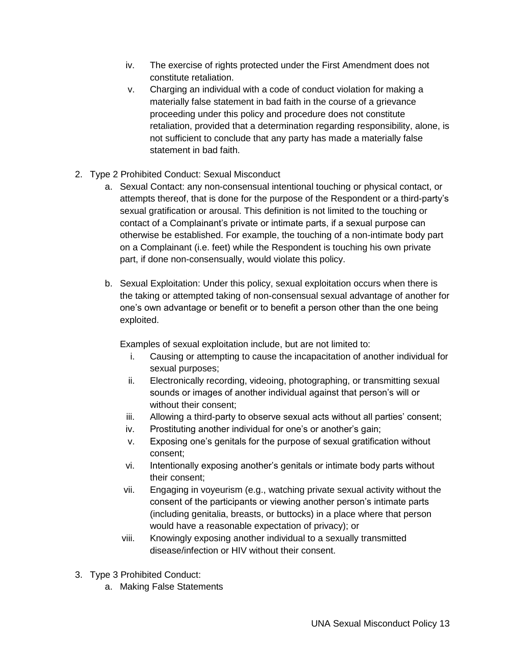- iv. The exercise of rights protected under the First Amendment does not constitute retaliation.
- v. Charging an individual with a code of conduct violation for making a materially false statement in bad faith in the course of a grievance proceeding under this policy and procedure does not constitute retaliation, provided that a determination regarding responsibility, alone, is not sufficient to conclude that any party has made a materially false statement in bad faith.
- 2. Type 2 Prohibited Conduct: Sexual Misconduct
	- a. Sexual Contact: any non-consensual intentional touching or physical contact, or attempts thereof, that is done for the purpose of the Respondent or a third-party's sexual gratification or arousal. This definition is not limited to the touching or contact of a Complainant's private or intimate parts, if a sexual purpose can otherwise be established. For example, the touching of a non-intimate body part on a Complainant (i.e. feet) while the Respondent is touching his own private part, if done non-consensually, would violate this policy.
	- b. Sexual Exploitation: Under this policy, sexual exploitation occurs when there is the taking or attempted taking of non-consensual sexual advantage of another for one's own advantage or benefit or to benefit a person other than the one being exploited.

Examples of sexual exploitation include, but are not limited to:

- i. Causing or attempting to cause the incapacitation of another individual for sexual purposes;
- ii. Electronically recording, videoing, photographing, or transmitting sexual sounds or images of another individual against that person's will or without their consent;
- iii. Allowing a third-party to observe sexual acts without all parties' consent;
- iv. Prostituting another individual for one's or another's gain;
- v. Exposing one's genitals for the purpose of sexual gratification without consent;
- vi. Intentionally exposing another's genitals or intimate body parts without their consent;
- vii. Engaging in voyeurism (e.g., watching private sexual activity without the consent of the participants or viewing another person's intimate parts (including genitalia, breasts, or buttocks) in a place where that person would have a reasonable expectation of privacy); or
- viii. Knowingly exposing another individual to a sexually transmitted disease/infection or HIV without their consent.
- 3. Type 3 Prohibited Conduct:
	- a. Making False Statements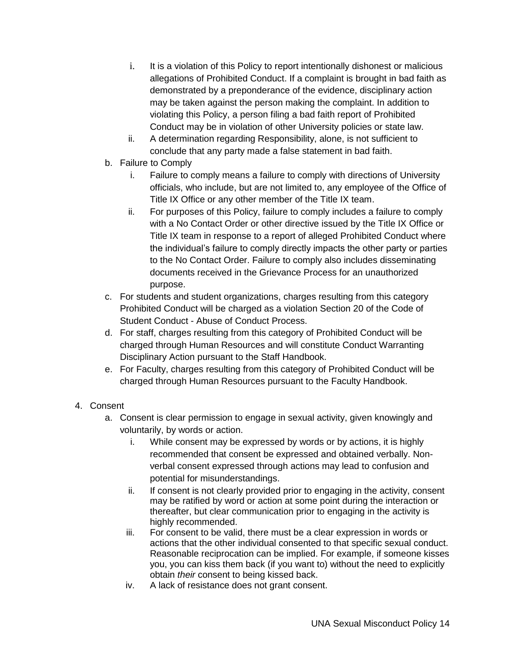- i. It is a violation of this Policy to report intentionally dishonest or malicious allegations of Prohibited Conduct. If a complaint is brought in bad faith as demonstrated by a preponderance of the evidence, disciplinary action may be taken against the person making the complaint. In addition to violating this Policy, a person filing a bad faith report of Prohibited Conduct may be in violation of other University policies or state law.
- ii. A determination regarding Responsibility, alone, is not sufficient to conclude that any party made a false statement in bad faith.
- b. Failure to Comply
	- i. Failure to comply means a failure to comply with directions of University officials, who include, but are not limited to, any employee of the Office of Title IX Office or any other member of the Title IX team.
	- ii. For purposes of this Policy, failure to comply includes a failure to comply with a No Contact Order or other directive issued by the Title IX Office or Title IX team in response to a report of alleged Prohibited Conduct where the individual's failure to comply directly impacts the other party or parties to the No Contact Order. Failure to comply also includes disseminating documents received in the Grievance Process for an unauthorized purpose.
- c. For students and student organizations, charges resulting from this category Prohibited Conduct will be charged as a violation Section 20 of the Code of Student Conduct - Abuse of Conduct Process.
- d. For staff, charges resulting from this category of Prohibited Conduct will be charged through Human Resources and will constitute Conduct Warranting Disciplinary Action pursuant to the Staff Handbook.
- e. For Faculty, charges resulting from this category of Prohibited Conduct will be charged through Human Resources pursuant to the Faculty Handbook.
- 4. Consent
	- a. Consent is clear permission to engage in sexual activity, given knowingly and voluntarily, by words or action.
		- i. While consent may be expressed by words or by actions, it is highly recommended that consent be expressed and obtained verbally. Nonverbal consent expressed through actions may lead to confusion and potential for misunderstandings.
		- ii. If consent is not clearly provided prior to engaging in the activity, consent may be ratified by word or action at some point during the interaction or thereafter, but clear communication prior to engaging in the activity is highly recommended.
		- iii. For consent to be valid, there must be a clear expression in words or actions that the other individual consented to that specific sexual conduct. Reasonable reciprocation can be implied. For example, if someone kisses you, you can kiss them back (if you want to) without the need to explicitly obtain *their* consent to being kissed back.
		- iv. A lack of resistance does not grant consent.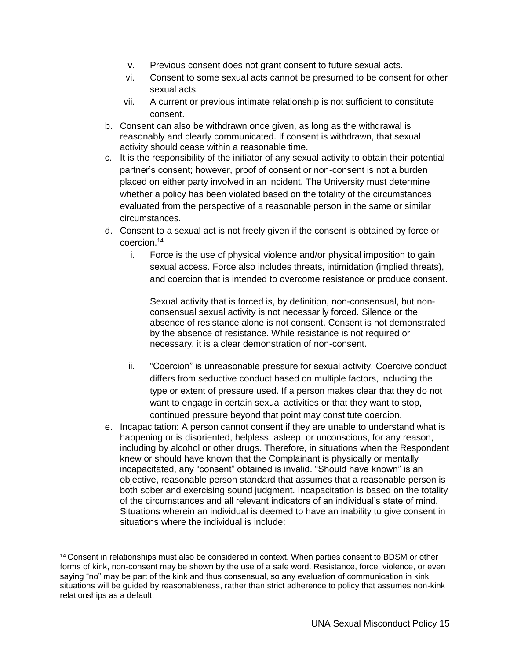- v. Previous consent does not grant consent to future sexual acts.
- vi. Consent to some sexual acts cannot be presumed to be consent for other sexual acts.
- vii. A current or previous intimate relationship is not sufficient to constitute consent.
- b. Consent can also be withdrawn once given, as long as the withdrawal is reasonably and clearly communicated. If consent is withdrawn, that sexual activity should cease within a reasonable time.
- c. It is the responsibility of the initiator of any sexual activity to obtain their potential partner's consent; however, proof of consent or non-consent is not a burden placed on either party involved in an incident. The University must determine whether a policy has been violated based on the totality of the circumstances evaluated from the perspective of a reasonable person in the same or similar circumstances.
- d. Consent to a sexual act is not freely given if the consent is obtained by force or coercion.<sup>14</sup>
	- i. Force is the use of physical violence and/or physical imposition to gain sexual access. Force also includes threats, intimidation (implied threats), and coercion that is intended to overcome resistance or produce consent.

Sexual activity that is forced is, by definition, non-consensual, but nonconsensual sexual activity is not necessarily forced. Silence or the absence of resistance alone is not consent. Consent is not demonstrated by the absence of resistance. While resistance is not required or necessary, it is a clear demonstration of non-consent.

- ii. "Coercion" is unreasonable pressure for sexual activity. Coercive conduct differs from seductive conduct based on multiple factors, including the type or extent of pressure used. If a person makes clear that they do not want to engage in certain sexual activities or that they want to stop, continued pressure beyond that point may constitute coercion.
- e. Incapacitation: A person cannot consent if they are unable to understand what is happening or is disoriented, helpless, asleep, or unconscious, for any reason, including by alcohol or other drugs. Therefore, in situations when the Respondent knew or should have known that the Complainant is physically or mentally incapacitated, any "consent" obtained is invalid. "Should have known" is an objective, reasonable person standard that assumes that a reasonable person is both sober and exercising sound judgment. Incapacitation is based on the totality of the circumstances and all relevant indicators of an individual's state of mind. Situations wherein an individual is deemed to have an inability to give consent in situations where the individual is include:

 $\overline{a}$ 

<sup>&</sup>lt;sup>14</sup> Consent in relationships must also be considered in context. When parties consent to BDSM or other forms of kink, non-consent may be shown by the use of a safe word. Resistance, force, violence, or even saying "no" may be part of the kink and thus consensual, so any evaluation of communication in kink situations will be guided by reasonableness, rather than strict adherence to policy that assumes non-kink relationships as a default.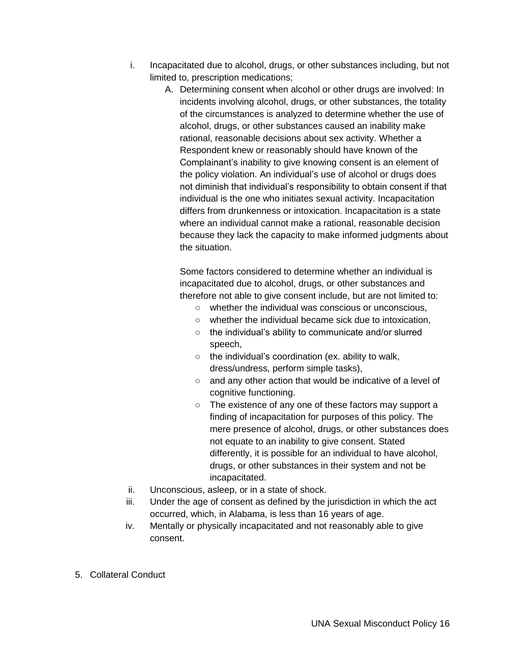- i. Incapacitated due to alcohol, drugs, or other substances including, but not limited to, prescription medications;
	- A. Determining consent when alcohol or other drugs are involved: In incidents involving alcohol, drugs, or other substances, the totality of the circumstances is analyzed to determine whether the use of alcohol, drugs, or other substances caused an inability make rational, reasonable decisions about sex activity. Whether a Respondent knew or reasonably should have known of the Complainant's inability to give knowing consent is an element of the policy violation. An individual's use of alcohol or drugs does not diminish that individual's responsibility to obtain consent if that individual is the one who initiates sexual activity. Incapacitation differs from drunkenness or intoxication. Incapacitation is a state where an individual cannot make a rational, reasonable decision because they lack the capacity to make informed judgments about the situation.

Some factors considered to determine whether an individual is incapacitated due to alcohol, drugs, or other substances and therefore not able to give consent include, but are not limited to:

- whether the individual was conscious or unconscious,
- whether the individual became sick due to intoxication,
- the individual's ability to communicate and/or slurred speech,
- $\circ$  the individual's coordination (ex. ability to walk, dress/undress, perform simple tasks),
- and any other action that would be indicative of a level of cognitive functioning.
- The existence of any one of these factors may support a finding of incapacitation for purposes of this policy. The mere presence of alcohol, drugs, or other substances does not equate to an inability to give consent. Stated differently, it is possible for an individual to have alcohol, drugs, or other substances in their system and not be incapacitated.
- ii. Unconscious, asleep, or in a state of shock.
- iii. Under the age of consent as defined by the jurisdiction in which the act occurred, which, in Alabama, is less than 16 years of age.
- iv. Mentally or physically incapacitated and not reasonably able to give consent.
- 5. Collateral Conduct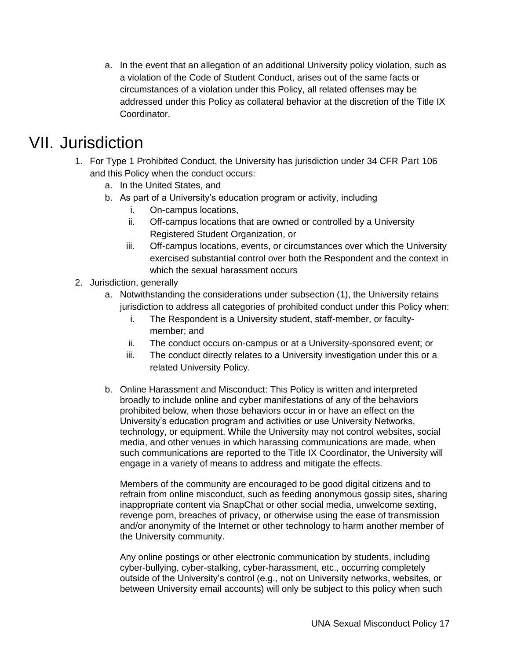a. In the event that an allegation of an additional University policy violation, such as a violation of the Code of Student Conduct, arises out of the same facts or circumstances of a violation under this Policy, all related offenses may be addressed under this Policy as collateral behavior at the discretion of the Title IX Coordinator.

### VII. Jurisdiction

- <span id="page-16-0"></span>1. For Type 1 Prohibited Conduct, the University has jurisdiction under 34 CFR Part 106 and this Policy when the conduct occurs:
	- a. In the United States, and
	- b. As part of a University's education program or activity, including
		- i. On-campus locations,
		- ii. Off-campus locations that are owned or controlled by a University Registered Student Organization, or
		- iii. Off-campus locations, events, or circumstances over which the University exercised substantial control over both the Respondent and the context in which the sexual harassment occurs
- 2. Jurisdiction, generally
	- a. Notwithstanding the considerations under subsection (1), the University retains jurisdiction to address all categories of prohibited conduct under this Policy when:
		- i. The Respondent is a University student, staff-member, or facultymember; and
		- ii. The conduct occurs on-campus or at a University-sponsored event; or
		- iii. The conduct directly relates to a University investigation under this or a related University Policy.
	- b. Online Harassment and Misconduct: This Policy is written and interpreted broadly to include online and cyber manifestations of any of the behaviors prohibited below, when those behaviors occur in or have an effect on the University's education program and activities or use University Networks, technology, or equipment. While the University may not control websites, social media, and other venues in which harassing communications are made, when such communications are reported to the Title IX Coordinator, the University will engage in a variety of means to address and mitigate the effects.

Members of the community are encouraged to be good digital citizens and to refrain from online misconduct, such as feeding anonymous gossip sites, sharing inappropriate content via SnapChat or other social media, unwelcome sexting, revenge porn, breaches of privacy, or otherwise using the ease of transmission and/or anonymity of the Internet or other technology to harm another member of the University community.

Any online postings or other electronic communication by students, including cyber-bullying, cyber-stalking, cyber-harassment, etc., occurring completely outside of the University's control (e.g., not on University networks, websites, or between University email accounts) will only be subject to this policy when such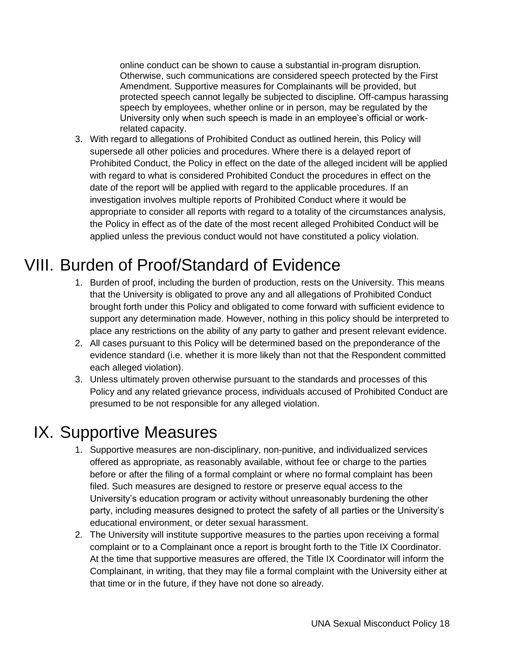online conduct can be shown to cause a substantial in-program disruption. Otherwise, such communications are considered speech protected by the First Amendment. Supportive measures for Complainants will be provided, but protected speech cannot legally be subjected to discipline. Off-campus harassing speech by employees, whether online or in person, may be regulated by the University only when such speech is made in an employee's official or workrelated capacity.

3. With regard to allegations of Prohibited Conduct as outlined herein, this Policy will supersede all other policies and procedures. Where there is a delayed report of Prohibited Conduct, the Policy in effect on the date of the alleged incident will be applied with regard to what is considered Prohibited Conduct the procedures in effect on the date of the report will be applied with regard to the applicable procedures. If an investigation involves multiple reports of Prohibited Conduct where it would be appropriate to consider all reports with regard to a totality of the circumstances analysis, the Policy in effect as of the date of the most recent alleged Prohibited Conduct will be applied unless the previous conduct would not have constituted a policy violation.

# VIII. Burden of Proof/Standard of Evidence

- <span id="page-17-0"></span>1. Burden of proof, including the burden of production, rests on the University. This means that the University is obligated to prove any and all allegations of Prohibited Conduct brought forth under this Policy and obligated to come forward with sufficient evidence to support any determination made. However, nothing in this policy should be interpreted to place any restrictions on the ability of any party to gather and present relevant evidence.
- 2. All cases pursuant to this Policy will be determined based on the preponderance of the evidence standard (i.e. whether it is more likely than not that the Respondent committed each alleged violation).
- 3. Unless ultimately proven otherwise pursuant to the standards and processes of this Policy and any related grievance process, individuals accused of Prohibited Conduct are presumed to be not responsible for any alleged violation.

### <span id="page-17-1"></span>IX. Supportive Measures

- 1. Supportive measures are non-disciplinary, non-punitive, and individualized services offered as appropriate, as reasonably available, without fee or charge to the parties before or after the filing of a formal complaint or where no formal complaint has been filed. Such measures are designed to restore or preserve equal access to the University's education program or activity without unreasonably burdening the other party, including measures designed to protect the safety of all parties or the University's educational environment, or deter sexual harassment.
- 2. The University will institute supportive measures to the parties upon receiving a formal complaint or to a Complainant once a report is brought forth to the Title IX Coordinator. At the time that supportive measures are offered, the Title IX Coordinator will inform the Complainant, in writing, that they may file a formal complaint with the University either at that time or in the future, if they have not done so already.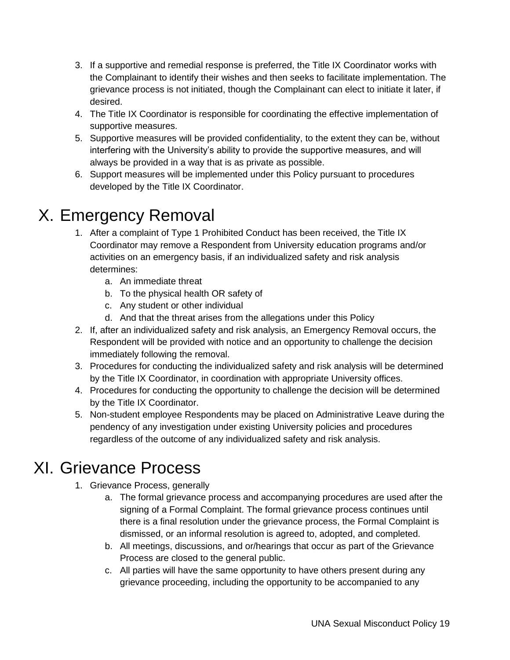- 3. If a supportive and remedial response is preferred, the Title IX Coordinator works with the Complainant to identify their wishes and then seeks to facilitate implementation. The grievance process is not initiated, though the Complainant can elect to initiate it later, if desired.
- 4. The Title IX Coordinator is responsible for coordinating the effective implementation of supportive measures.
- 5. Supportive measures will be provided confidentiality, to the extent they can be, without interfering with the University's ability to provide the supportive measures, and will always be provided in a way that is as private as possible.
- 6. Support measures will be implemented under this Policy pursuant to procedures developed by the Title IX Coordinator.

# <span id="page-18-0"></span>X. Emergency Removal

- 1. After a complaint of Type 1 Prohibited Conduct has been received, the Title IX Coordinator may remove a Respondent from University education programs and/or activities on an emergency basis, if an individualized safety and risk analysis determines:
	- a. An immediate threat
	- b. To the physical health OR safety of
	- c. Any student or other individual
	- d. And that the threat arises from the allegations under this Policy
- 2. If, after an individualized safety and risk analysis, an Emergency Removal occurs, the Respondent will be provided with notice and an opportunity to challenge the decision immediately following the removal.
- 3. Procedures for conducting the individualized safety and risk analysis will be determined by the Title IX Coordinator, in coordination with appropriate University offices.
- 4. Procedures for conducting the opportunity to challenge the decision will be determined by the Title IX Coordinator.
- 5. Non-student employee Respondents may be placed on Administrative Leave during the pendency of any investigation under existing University policies and procedures regardless of the outcome of any individualized safety and risk analysis.

### <span id="page-18-1"></span>XI. Grievance Process

- 1. Grievance Process, generally
	- a. The formal grievance process and accompanying procedures are used after the signing of a Formal Complaint. The formal grievance process continues until there is a final resolution under the grievance process, the Formal Complaint is dismissed, or an informal resolution is agreed to, adopted, and completed.
	- b. All meetings, discussions, and or/hearings that occur as part of the Grievance Process are closed to the general public.
	- c. All parties will have the same opportunity to have others present during any grievance proceeding, including the opportunity to be accompanied to any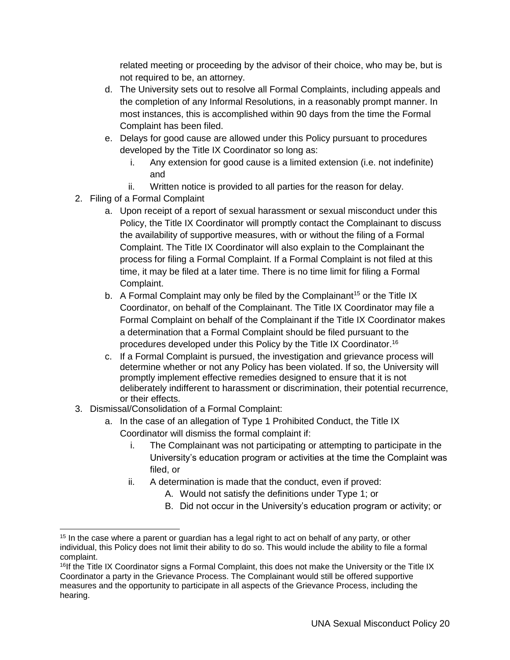related meeting or proceeding by the advisor of their choice, who may be, but is not required to be, an attorney.

- d. The University sets out to resolve all Formal Complaints, including appeals and the completion of any Informal Resolutions, in a reasonably prompt manner. In most instances, this is accomplished within 90 days from the time the Formal Complaint has been filed.
- e. Delays for good cause are allowed under this Policy pursuant to procedures developed by the Title IX Coordinator so long as:
	- i. Any extension for good cause is a limited extension (i.e. not indefinite) and
	- ii. Written notice is provided to all parties for the reason for delay.
- 2. Filing of a Formal Complaint
	- a. Upon receipt of a report of sexual harassment or sexual misconduct under this Policy, the Title IX Coordinator will promptly contact the Complainant to discuss the availability of supportive measures, with or without the filing of a Formal Complaint. The Title IX Coordinator will also explain to the Complainant the process for filing a Formal Complaint. If a Formal Complaint is not filed at this time, it may be filed at a later time. There is no time limit for filing a Formal Complaint.
	- b. A Formal Complaint may only be filed by the Complainant<sup>15</sup> or the Title IX Coordinator, on behalf of the Complainant. The Title IX Coordinator may file a Formal Complaint on behalf of the Complainant if the Title IX Coordinator makes a determination that a Formal Complaint should be filed pursuant to the procedures developed under this Policy by the Title IX Coordinator.<sup>16</sup>
	- c. If a Formal Complaint is pursued, the investigation and grievance process will determine whether or not any Policy has been violated. If so, the University will promptly implement effective remedies designed to ensure that it is not deliberately indifferent to harassment or discrimination, their potential recurrence, or their effects.
- 3. Dismissal/Consolidation of a Formal Complaint:

 $\overline{a}$ 

- a. In the case of an allegation of Type 1 Prohibited Conduct, the Title IX Coordinator will dismiss the formal complaint if:
	- i. The Complainant was not participating or attempting to participate in the University's education program or activities at the time the Complaint was filed, or
	- ii. A determination is made that the conduct, even if proved:
		- A. Would not satisfy the definitions under Type 1; or
		- B. Did not occur in the University's education program or activity; or

<sup>&</sup>lt;sup>15</sup> In the case where a parent or guardian has a legal right to act on behalf of any party, or other individual, this Policy does not limit their ability to do so. This would include the ability to file a formal complaint.

<sup>&</sup>lt;sup>16</sup>If the Title IX Coordinator signs a Formal Complaint, this does not make the University or the Title IX Coordinator a party in the Grievance Process. The Complainant would still be offered supportive measures and the opportunity to participate in all aspects of the Grievance Process, including the hearing.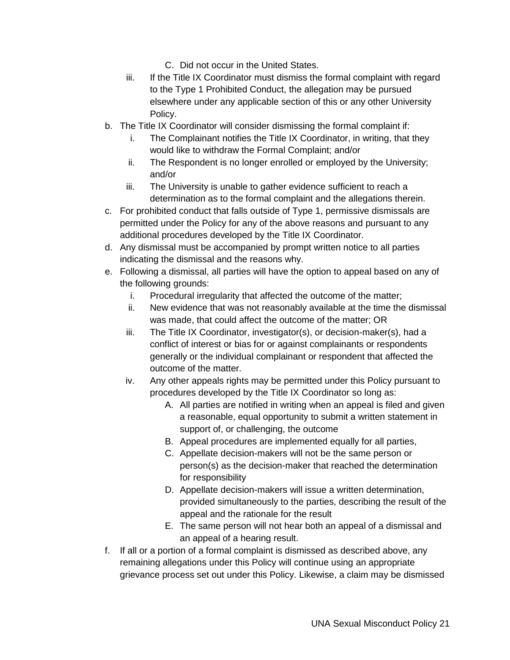- C. Did not occur in the United States.
- iii. If the Title IX Coordinator must dismiss the formal complaint with regard to the Type 1 Prohibited Conduct, the allegation may be pursued elsewhere under any applicable section of this or any other University Policy.
- b. The Title IX Coordinator will consider dismissing the formal complaint if:
	- i. The Complainant notifies the Title IX Coordinator, in writing, that they would like to withdraw the Formal Complaint; and/or
	- ii. The Respondent is no longer enrolled or employed by the University; and/or
	- iii. The University is unable to gather evidence sufficient to reach a determination as to the formal complaint and the allegations therein.
- c. For prohibited conduct that falls outside of Type 1, permissive dismissals are permitted under the Policy for any of the above reasons and pursuant to any additional procedures developed by the Title IX Coordinator.
- d. Any dismissal must be accompanied by prompt written notice to all parties indicating the dismissal and the reasons why.
- e. Following a dismissal, all parties will have the option to appeal based on any of the following grounds:
	- i. Procedural irregularity that affected the outcome of the matter;
	- ii. New evidence that was not reasonably available at the time the dismissal was made, that could affect the outcome of the matter; OR
	- iii. The Title IX Coordinator, investigator(s), or decision-maker(s), had a conflict of interest or bias for or against complainants or respondents generally or the individual complainant or respondent that affected the outcome of the matter.
	- iv. Any other appeals rights may be permitted under this Policy pursuant to procedures developed by the Title IX Coordinator so long as:
		- A. All parties are notified in writing when an appeal is filed and given a reasonable, equal opportunity to submit a written statement in support of, or challenging, the outcome
		- B. Appeal procedures are implemented equally for all parties,
		- C. Appellate decision-makers will not be the same person or person(s) as the decision-maker that reached the determination for responsibility
		- D. Appellate decision-makers will issue a written determination, provided simultaneously to the parties, describing the result of the appeal and the rationale for the result
		- E. The same person will not hear both an appeal of a dismissal and an appeal of a hearing result.
- f. If all or a portion of a formal complaint is dismissed as described above, any remaining allegations under this Policy will continue using an appropriate grievance process set out under this Policy. Likewise, a claim may be dismissed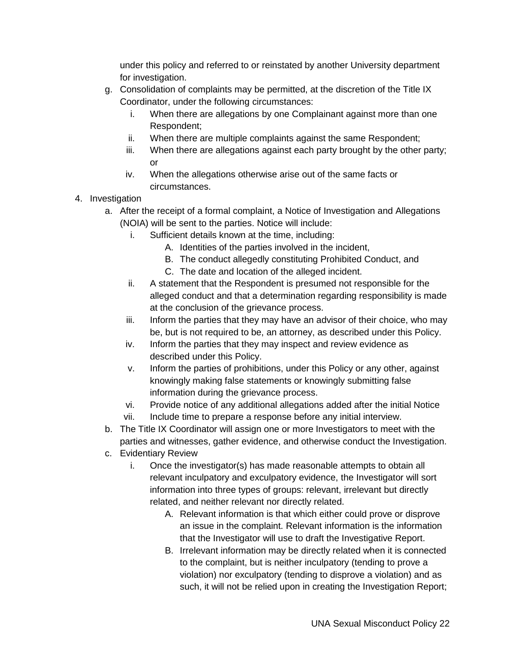under this policy and referred to or reinstated by another University department for investigation.

- g. Consolidation of complaints may be permitted, at the discretion of the Title IX Coordinator, under the following circumstances:
	- i. When there are allegations by one Complainant against more than one Respondent;
	- ii. When there are multiple complaints against the same Respondent;
	- iii. When there are allegations against each party brought by the other party; or
	- iv. When the allegations otherwise arise out of the same facts or circumstances.
- 4. Investigation
	- a. After the receipt of a formal complaint, a Notice of Investigation and Allegations (NOIA) will be sent to the parties. Notice will include:
		- i. Sufficient details known at the time, including:
			- A. Identities of the parties involved in the incident,
			- B. The conduct allegedly constituting Prohibited Conduct, and
			- C. The date and location of the alleged incident.
		- ii. A statement that the Respondent is presumed not responsible for the alleged conduct and that a determination regarding responsibility is made at the conclusion of the grievance process.
		- iii. Inform the parties that they may have an advisor of their choice, who may be, but is not required to be, an attorney, as described under this Policy.
		- iv. Inform the parties that they may inspect and review evidence as described under this Policy.
		- v. Inform the parties of prohibitions, under this Policy or any other, against knowingly making false statements or knowingly submitting false information during the grievance process.
		- vi. Provide notice of any additional allegations added after the initial Notice
		- vii. Include time to prepare a response before any initial interview.
	- b. The Title IX Coordinator will assign one or more Investigators to meet with the parties and witnesses, gather evidence, and otherwise conduct the Investigation.
	- c. Evidentiary Review
		- i. Once the investigator(s) has made reasonable attempts to obtain all relevant inculpatory and exculpatory evidence, the Investigator will sort information into three types of groups: relevant, irrelevant but directly related, and neither relevant nor directly related.
			- A. Relevant information is that which either could prove or disprove an issue in the complaint. Relevant information is the information that the Investigator will use to draft the Investigative Report.
			- B. Irrelevant information may be directly related when it is connected to the complaint, but is neither inculpatory (tending to prove a violation) nor exculpatory (tending to disprove a violation) and as such, it will not be relied upon in creating the Investigation Report;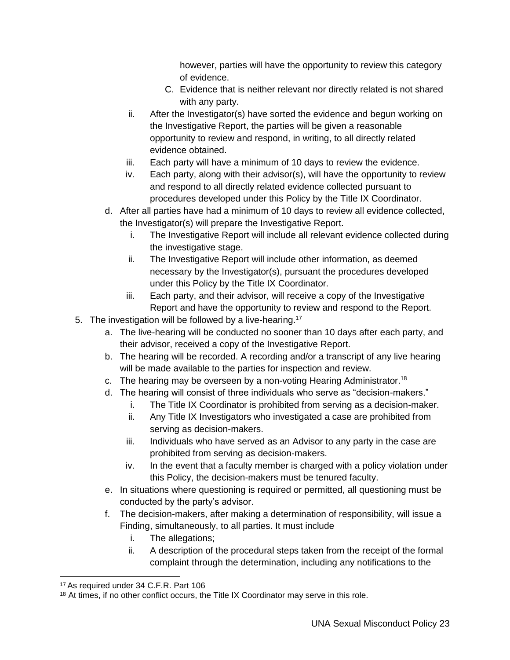however, parties will have the opportunity to review this category of evidence.

- C. Evidence that is neither relevant nor directly related is not shared with any party.
- ii. After the Investigator(s) have sorted the evidence and begun working on the Investigative Report, the parties will be given a reasonable opportunity to review and respond, in writing, to all directly related evidence obtained.
- iii. Each party will have a minimum of 10 days to review the evidence.
- iv. Each party, along with their advisor(s), will have the opportunity to review and respond to all directly related evidence collected pursuant to procedures developed under this Policy by the Title IX Coordinator.
- d. After all parties have had a minimum of 10 days to review all evidence collected, the Investigator(s) will prepare the Investigative Report.
	- i. The Investigative Report will include all relevant evidence collected during the investigative stage.
	- ii. The Investigative Report will include other information, as deemed necessary by the Investigator(s), pursuant the procedures developed under this Policy by the Title IX Coordinator.
	- iii. Each party, and their advisor, will receive a copy of the Investigative Report and have the opportunity to review and respond to the Report.
- 5. The investigation will be followed by a live-hearing.<sup>17</sup>
	- a. The live-hearing will be conducted no sooner than 10 days after each party, and their advisor, received a copy of the Investigative Report.
	- b. The hearing will be recorded. A recording and/or a transcript of any live hearing will be made available to the parties for inspection and review.
	- c. The hearing may be overseen by a non-voting Hearing Administrator.<sup>18</sup>
	- d. The hearing will consist of three individuals who serve as "decision-makers."
		- i. The Title IX Coordinator is prohibited from serving as a decision-maker.
		- ii. Any Title IX Investigators who investigated a case are prohibited from serving as decision-makers.
		- iii. Individuals who have served as an Advisor to any party in the case are prohibited from serving as decision-makers.
		- iv. In the event that a faculty member is charged with a policy violation under this Policy, the decision-makers must be tenured faculty.
	- e. In situations where questioning is required or permitted, all questioning must be conducted by the party's advisor.
	- f. The decision-makers, after making a determination of responsibility, will issue a Finding, simultaneously, to all parties. It must include
		- i. The allegations;
		- ii. A description of the procedural steps taken from the receipt of the formal complaint through the determination, including any notifications to the

 $\overline{a}$ <sup>17</sup> As required under 34 C.F.R. Part 106

<sup>&</sup>lt;sup>18</sup> At times, if no other conflict occurs, the Title IX Coordinator may serve in this role.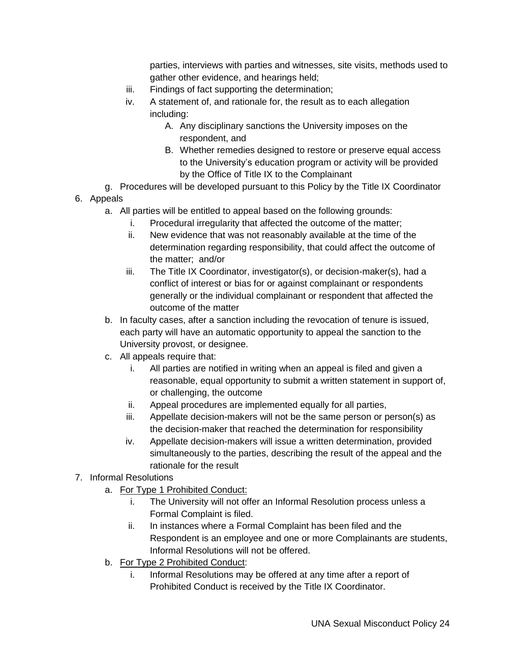parties, interviews with parties and witnesses, site visits, methods used to gather other evidence, and hearings held;

- iii. Findings of fact supporting the determination;
- iv. A statement of, and rationale for, the result as to each allegation including:
	- A. Any disciplinary sanctions the University imposes on the respondent, and
	- B. Whether remedies designed to restore or preserve equal access to the University's education program or activity will be provided by the Office of Title IX to the Complainant
- g. Procedures will be developed pursuant to this Policy by the Title IX Coordinator
- 6. Appeals
	- a. All parties will be entitled to appeal based on the following grounds:
		- i. Procedural irregularity that affected the outcome of the matter;
		- ii. New evidence that was not reasonably available at the time of the determination regarding responsibility, that could affect the outcome of the matter; and/or
		- iii. The Title IX Coordinator, investigator(s), or decision-maker(s), had a conflict of interest or bias for or against complainant or respondents generally or the individual complainant or respondent that affected the outcome of the matter
	- b. In faculty cases, after a sanction including the revocation of tenure is issued, each party will have an automatic opportunity to appeal the sanction to the University provost, or designee.
	- c. All appeals require that:
		- i. All parties are notified in writing when an appeal is filed and given a reasonable, equal opportunity to submit a written statement in support of, or challenging, the outcome
		- ii. Appeal procedures are implemented equally for all parties,
		- iii. Appellate decision-makers will not be the same person or person(s) as the decision-maker that reached the determination for responsibility
		- iv. Appellate decision-makers will issue a written determination, provided simultaneously to the parties, describing the result of the appeal and the rationale for the result

#### 7. Informal Resolutions

- a. For Type 1 Prohibited Conduct:
	- i. The University will not offer an Informal Resolution process unless a Formal Complaint is filed.
	- ii. In instances where a Formal Complaint has been filed and the Respondent is an employee and one or more Complainants are students, Informal Resolutions will not be offered.
- b. For Type 2 Prohibited Conduct:
	- i. Informal Resolutions may be offered at any time after a report of Prohibited Conduct is received by the Title IX Coordinator.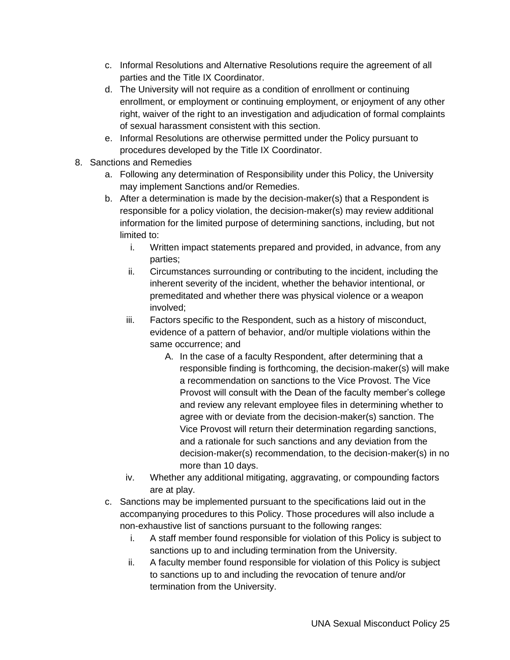- c. Informal Resolutions and Alternative Resolutions require the agreement of all parties and the Title IX Coordinator.
- d. The University will not require as a condition of enrollment or continuing enrollment, or employment or continuing employment, or enjoyment of any other right, waiver of the right to an investigation and adjudication of formal complaints of sexual harassment consistent with this section.
- e. Informal Resolutions are otherwise permitted under the Policy pursuant to procedures developed by the Title IX Coordinator.
- 8. Sanctions and Remedies
	- a. Following any determination of Responsibility under this Policy, the University may implement Sanctions and/or Remedies.
	- b. After a determination is made by the decision-maker(s) that a Respondent is responsible for a policy violation, the decision-maker(s) may review additional information for the limited purpose of determining sanctions, including, but not limited to:
		- i. Written impact statements prepared and provided, in advance, from any parties;
		- ii. Circumstances surrounding or contributing to the incident, including the inherent severity of the incident, whether the behavior intentional, or premeditated and whether there was physical violence or a weapon involved;
		- iii. Factors specific to the Respondent, such as a history of misconduct, evidence of a pattern of behavior, and/or multiple violations within the same occurrence; and
			- A. In the case of a faculty Respondent, after determining that a responsible finding is forthcoming, the decision-maker(s) will make a recommendation on sanctions to the Vice Provost. The Vice Provost will consult with the Dean of the faculty member's college and review any relevant employee files in determining whether to agree with or deviate from the decision-maker(s) sanction. The Vice Provost will return their determination regarding sanctions, and a rationale for such sanctions and any deviation from the decision-maker(s) recommendation, to the decision-maker(s) in no more than 10 days.
		- iv. Whether any additional mitigating, aggravating, or compounding factors are at play.
	- c. Sanctions may be implemented pursuant to the specifications laid out in the accompanying procedures to this Policy. Those procedures will also include a non-exhaustive list of sanctions pursuant to the following ranges:
		- i. A staff member found responsible for violation of this Policy is subject to sanctions up to and including termination from the University.
		- ii. A faculty member found responsible for violation of this Policy is subject to sanctions up to and including the revocation of tenure and/or termination from the University.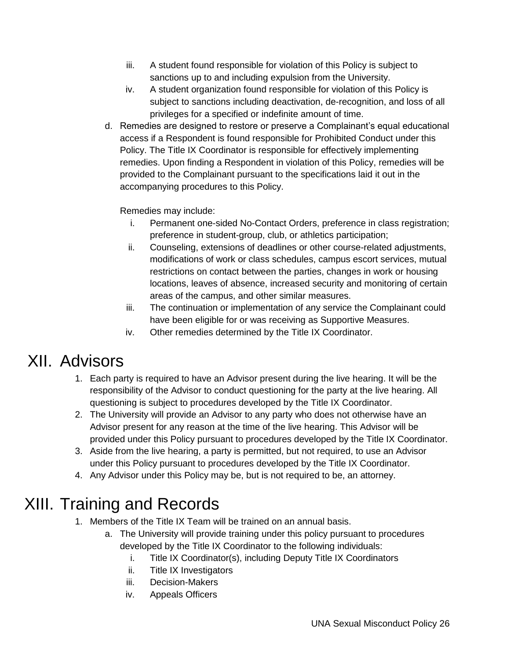- iii. A student found responsible for violation of this Policy is subject to sanctions up to and including expulsion from the University.
- iv. A student organization found responsible for violation of this Policy is subject to sanctions including deactivation, de-recognition, and loss of all privileges for a specified or indefinite amount of time.
- d. Remedies are designed to restore or preserve a Complainant's equal educational access if a Respondent is found responsible for Prohibited Conduct under this Policy. The Title IX Coordinator is responsible for effectively implementing remedies. Upon finding a Respondent in violation of this Policy, remedies will be provided to the Complainant pursuant to the specifications laid it out in the accompanying procedures to this Policy.

Remedies may include:

- i. Permanent one-sided No-Contact Orders, preference in class registration; preference in student-group, club, or athletics participation;
- ii. Counseling, extensions of deadlines or other course-related adjustments, modifications of work or class schedules, campus escort services, mutual restrictions on contact between the parties, changes in work or housing locations, leaves of absence, increased security and monitoring of certain areas of the campus, and other similar measures.
- iii. The continuation or implementation of any service the Complainant could have been eligible for or was receiving as Supportive Measures.
- iv. Other remedies determined by the Title IX Coordinator.

### XII. Advisors

- <span id="page-25-0"></span>1. Each party is required to have an Advisor present during the live hearing. It will be the responsibility of the Advisor to conduct questioning for the party at the live hearing. All questioning is subject to procedures developed by the Title IX Coordinator.
- 2. The University will provide an Advisor to any party who does not otherwise have an Advisor present for any reason at the time of the live hearing. This Advisor will be provided under this Policy pursuant to procedures developed by the Title IX Coordinator.
- 3. Aside from the live hearing, a party is permitted, but not required, to use an Advisor under this Policy pursuant to procedures developed by the Title IX Coordinator.
- 4. Any Advisor under this Policy may be, but is not required to be, an attorney.

# XIII. Training and Records

- <span id="page-25-1"></span>1. Members of the Title IX Team will be trained on an annual basis.
	- a. The University will provide training under this policy pursuant to procedures developed by the Title IX Coordinator to the following individuals:
		- i. Title IX Coordinator(s), including Deputy Title IX Coordinators
		- ii. Title IX Investigators
		- iii. Decision-Makers
		- iv. Appeals Officers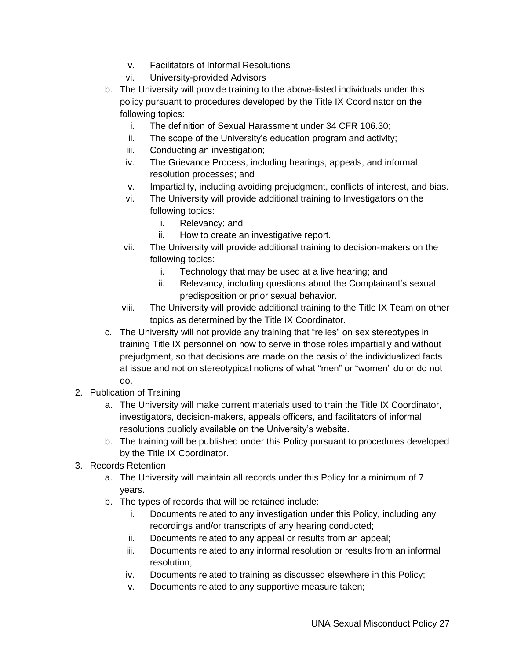- v. Facilitators of Informal Resolutions
- vi. University-provided Advisors
- b. The University will provide training to the above-listed individuals under this policy pursuant to procedures developed by the Title IX Coordinator on the following topics:
	- i. The definition of Sexual Harassment under 34 CFR 106.30;
	- ii. The scope of the University's education program and activity;
	- iii. Conducting an investigation;
	- iv. The Grievance Process, including hearings, appeals, and informal resolution processes; and
	- v. Impartiality, including avoiding prejudgment, conflicts of interest, and bias.
	- vi. The University will provide additional training to Investigators on the following topics:
		- i. Relevancy; and
		- ii. How to create an investigative report.
	- vii. The University will provide additional training to decision-makers on the following topics:
		- i. Technology that may be used at a live hearing; and
		- ii. Relevancy, including questions about the Complainant's sexual predisposition or prior sexual behavior.
	- viii. The University will provide additional training to the Title IX Team on other topics as determined by the Title IX Coordinator.
- c. The University will not provide any training that "relies" on sex stereotypes in training Title IX personnel on how to serve in those roles impartially and without prejudgment, so that decisions are made on the basis of the individualized facts at issue and not on stereotypical notions of what "men" or "women" do or do not do.
- 2. Publication of Training
	- a. The University will make current materials used to train the Title IX Coordinator, investigators, decision-makers, appeals officers, and facilitators of informal resolutions publicly available on the University's website.
	- b. The training will be published under this Policy pursuant to procedures developed by the Title IX Coordinator.
- 3. Records Retention
	- a. The University will maintain all records under this Policy for a minimum of 7 years.
	- b. The types of records that will be retained include:
		- i. Documents related to any investigation under this Policy, including any recordings and/or transcripts of any hearing conducted;
		- ii. Documents related to any appeal or results from an appeal;
		- iii. Documents related to any informal resolution or results from an informal resolution;
		- iv. Documents related to training as discussed elsewhere in this Policy;
		- v. Documents related to any supportive measure taken;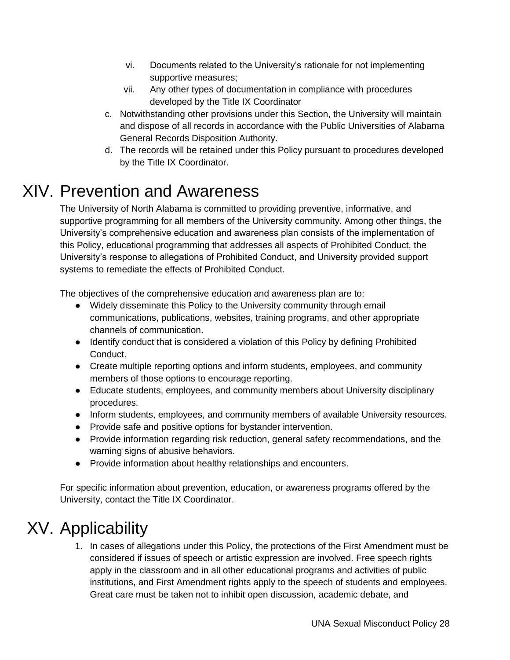- vi. Documents related to the University's rationale for not implementing supportive measures;
- vii. Any other types of documentation in compliance with procedures developed by the Title IX Coordinator
- c. Notwithstanding other provisions under this Section, the University will maintain and dispose of all records in accordance with the Public Universities of Alabama General Records Disposition Authority.
- d. The records will be retained under this Policy pursuant to procedures developed by the Title IX Coordinator.

### XIV. Prevention and Awareness

<span id="page-27-0"></span>The University of North Alabama is committed to providing preventive, informative, and supportive programming for all members of the University community. Among other things, the University's comprehensive education and awareness plan consists of the implementation of this Policy, educational programming that addresses all aspects of Prohibited Conduct, the University's response to allegations of Prohibited Conduct, and University provided support systems to remediate the effects of Prohibited Conduct.

The objectives of the comprehensive education and awareness plan are to:

- Widely disseminate this Policy to the University community through email communications, publications, websites, training programs, and other appropriate channels of communication.
- Identify conduct that is considered a violation of this Policy by defining Prohibited Conduct.
- Create multiple reporting options and inform students, employees, and community members of those options to encourage reporting.
- Educate students, employees, and community members about University disciplinary procedures.
- Inform students, employees, and community members of available University resources.
- Provide safe and positive options for bystander intervention.
- Provide information regarding risk reduction, general safety recommendations, and the warning signs of abusive behaviors.
- Provide information about healthy relationships and encounters.

For specific information about prevention, education, or awareness programs offered by the University, contact the Title IX Coordinator.

# XV. Applicability

<span id="page-27-1"></span>1. In cases of allegations under this Policy, the protections of the First Amendment must be considered if issues of speech or artistic expression are involved. Free speech rights apply in the classroom and in all other educational programs and activities of public institutions, and First Amendment rights apply to the speech of students and employees. Great care must be taken not to inhibit open discussion, academic debate, and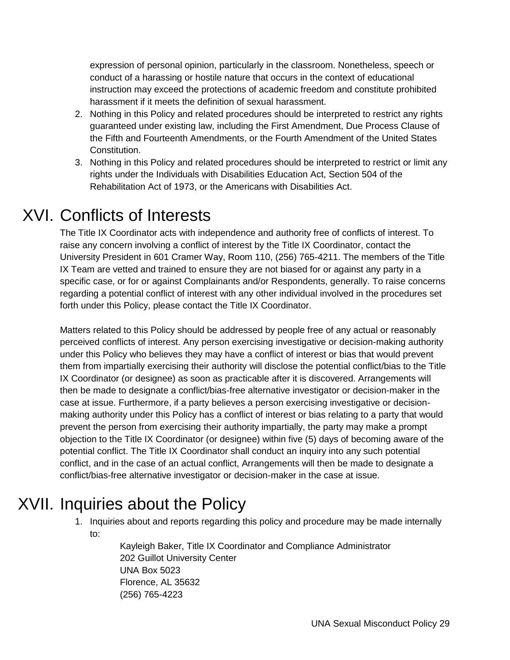expression of personal opinion, particularly in the classroom. Nonetheless, speech or conduct of a harassing or hostile nature that occurs in the context of educational instruction may exceed the protections of academic freedom and constitute prohibited harassment if it meets the definition of sexual harassment.

- 2. Nothing in this Policy and related procedures should be interpreted to restrict any rights guaranteed under existing law, including the First Amendment, Due Process Clause of the Fifth and Fourteenth Amendments, or the Fourth Amendment of the United States Constitution.
- 3. Nothing in this Policy and related procedures should be interpreted to restrict or limit any rights under the Individuals with Disabilities Education Act, Section 504 of the Rehabilitation Act of 1973, or the Americans with Disabilities Act.

# XVI. Conflicts of Interests

<span id="page-28-0"></span>The Title IX Coordinator acts with independence and authority free of conflicts of interest. To raise any concern involving a conflict of interest by the Title IX Coordinator, contact the University President in 601 Cramer Way, Room 110, (256) 765-4211. The members of the Title IX Team are vetted and trained to ensure they are not biased for or against any party in a specific case, or for or against Complainants and/or Respondents, generally. To raise concerns regarding a potential conflict of interest with any other individual involved in the procedures set forth under this Policy, please contact the Title IX Coordinator.

Matters related to this Policy should be addressed by people free of any actual or reasonably perceived conflicts of interest. Any person exercising investigative or decision-making authority under this Policy who believes they may have a conflict of interest or bias that would prevent them from impartially exercising their authority will disclose the potential conflict/bias to the Title IX Coordinator (or designee) as soon as practicable after it is discovered. Arrangements will then be made to designate a conflict/bias-free alternative investigator or decision-maker in the case at issue. Furthermore, if a party believes a person exercising investigative or decisionmaking authority under this Policy has a conflict of interest or bias relating to a party that would prevent the person from exercising their authority impartially, the party may make a prompt objection to the Title IX Coordinator (or designee) within five (5) days of becoming aware of the potential conflict. The Title IX Coordinator shall conduct an inquiry into any such potential conflict, and in the case of an actual conflict, Arrangements will then be made to designate a conflict/bias-free alternative investigator or decision-maker in the case at issue.

# XVII. Inquiries about the Policy

<span id="page-28-1"></span>1. Inquiries about and reports regarding this policy and procedure may be made internally to:

> Kayleigh Baker, Title IX Coordinator and Compliance Administrator 202 Guillot University Center UNA Box 5023 Florence, AL 35632 (256) 765-4223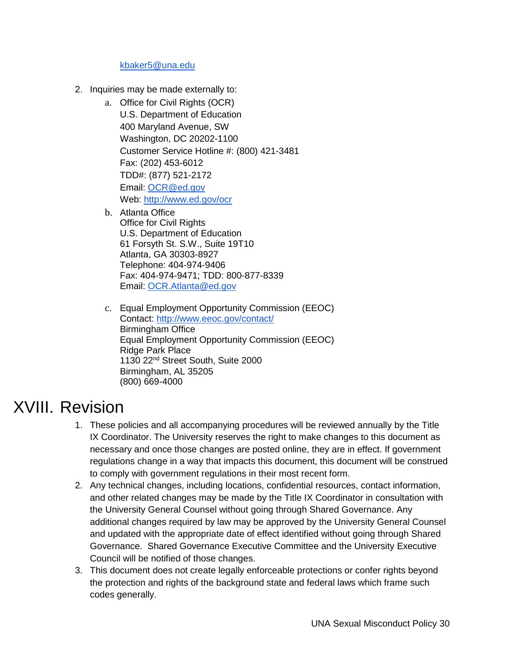#### [kbaker5@una.edu](mailto:kbaker5@una.edu)

- 2. Inquiries may be made externally to:
	- a. Office for Civil Rights (OCR) U.S. Department of Education 400 Maryland Avenue, SW Washington, DC 20202-1100 Customer Service Hotline #: (800) 421-3481 Fax: (202) 453-6012 TDD#: (877) 521-2172 Email: [OCR@ed.gov](mailto:OCR@ed.gov) Web: [http://www.ed.gov/ocr](http://www2.ed.gov/about/offices/list/ocr/index.html)
	- b. Atlanta Office Office for Civil Rights U.S. Department of Education 61 Forsyth St. S.W., Suite 19T10 Atlanta, GA 30303-8927 Telephone: 404-974-9406 Fax: 404-974-9471; TDD: 800-877-8339 Email: [OCR.Atlanta@ed.gov](mailto:OCR.Atlanta@ed.gov)
	- c. Equal Employment Opportunity Commission (EEOC) Contact:<http://www.eeoc.gov/contact/> Birmingham Office Equal Employment Opportunity Commission (EEOC) Ridge Park Place 1130 22nd Street South, Suite 2000 Birmingham, AL 35205 (800) 669-4000

### XVIII. Revision

- <span id="page-29-0"></span>1. These policies and all accompanying procedures will be reviewed annually by the Title IX Coordinator. The University reserves the right to make changes to this document as necessary and once those changes are posted online, they are in effect. If government regulations change in a way that impacts this document, this document will be construed to comply with government regulations in their most recent form.
- 2. Any technical changes, including locations, confidential resources, contact information, and other related changes may be made by the Title IX Coordinator in consultation with the University General Counsel without going through Shared Governance. Any additional changes required by law may be approved by the University General Counsel and updated with the appropriate date of effect identified without going through Shared Governance. Shared Governance Executive Committee and the University Executive Council will be notified of those changes.
- 3. This document does not create legally enforceable protections or confer rights beyond the protection and rights of the background state and federal laws which frame such codes generally.